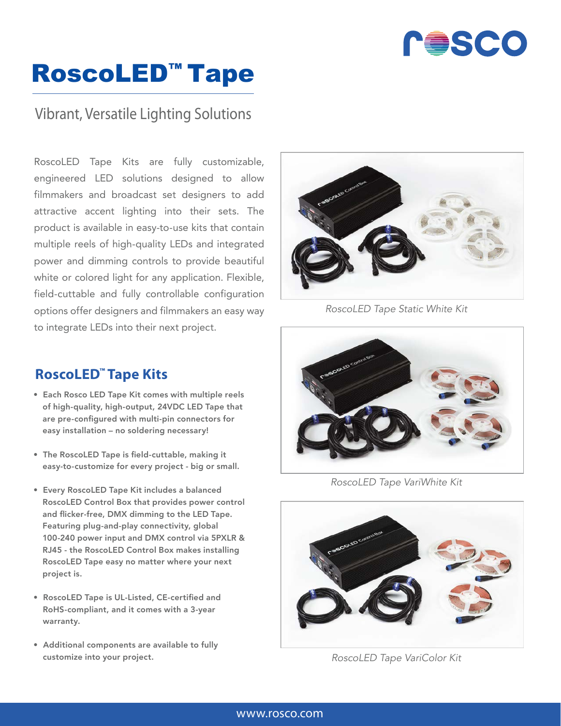

## RoscoLED™ Tape

### Vibrant, Versatile Lighting Solutions

RoscoLED Tape Kits are fully customizable, engineered LED solutions designed to allow filmmakers and broadcast set designers to add attractive accent lighting into their sets. The product is available in easy-to-use kits that contain multiple reels of high-quality LEDs and integrated power and dimming controls to provide beautiful white or colored light for any application. Flexible, field-cuttable and fully controllable configuration options offer designers and filmmakers an easy way to integrate LEDs into their next project.

### **RoscoLED™ Tape Kits**

- Each Rosco LED Tape Kit comes with multiple reels of high-quality, high-output, 24VDC LED Tape that are pre-configured with multi-pin connectors for easy installation – no soldering necessary!
- The RoscoLED Tape is field-cuttable, making it easy-to-customize for every project - big or small.
- Every RoscoLED Tape Kit includes a balanced RoscoLED Control Box that provides power control and flicker-free, DMX dimming to the LED Tape. Featuring plug-and-play connectivity, global 100-240 power input and DMX control via 5PXLR & RJ45 - the RoscoLED Control Box makes installing RoscoLED Tape easy no matter where your next project is.
- RoscoLED Tape is UL-Listed, CE-certified and RoHS-compliant, and it comes with a 3-year warranty.
- Additional components are available to fully customize into your project.



*RoscoLED Tape Static White Kit*



*RoscoLED Tape VariWhite Kit*



*RoscoLED Tape VariColor Kit*